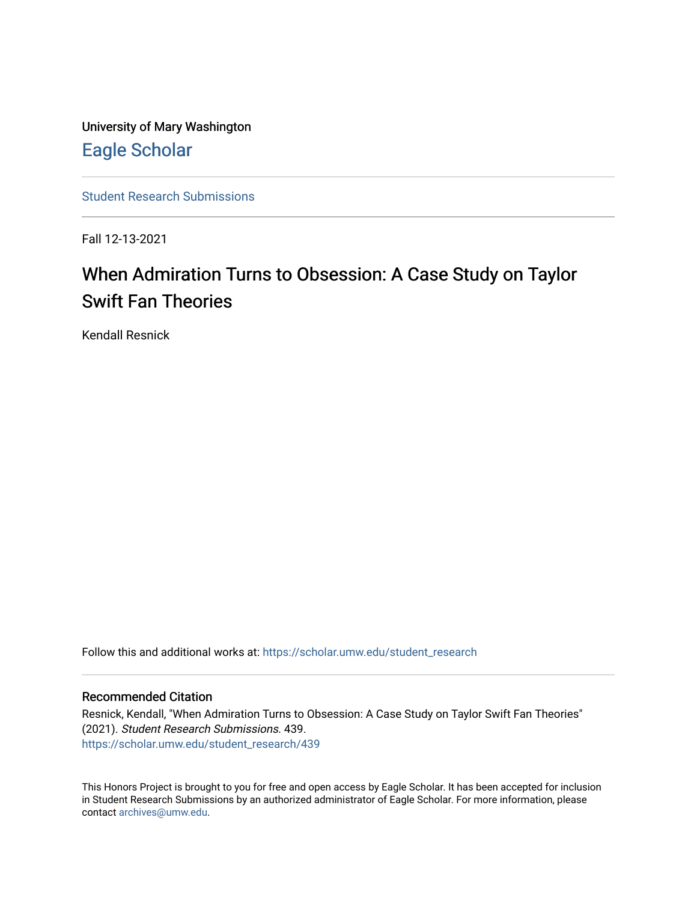University of Mary Washington [Eagle Scholar](https://scholar.umw.edu/) 

[Student Research Submissions](https://scholar.umw.edu/student_research) 

Fall 12-13-2021

# When Admiration Turns to Obsession: A Case Study on Taylor Swift Fan Theories

Kendall Resnick

Follow this and additional works at: [https://scholar.umw.edu/student\\_research](https://scholar.umw.edu/student_research?utm_source=scholar.umw.edu%2Fstudent_research%2F439&utm_medium=PDF&utm_campaign=PDFCoverPages)

### Recommended Citation

Resnick, Kendall, "When Admiration Turns to Obsession: A Case Study on Taylor Swift Fan Theories" (2021). Student Research Submissions. 439. [https://scholar.umw.edu/student\\_research/439](https://scholar.umw.edu/student_research/439?utm_source=scholar.umw.edu%2Fstudent_research%2F439&utm_medium=PDF&utm_campaign=PDFCoverPages)

This Honors Project is brought to you for free and open access by Eagle Scholar. It has been accepted for inclusion in Student Research Submissions by an authorized administrator of Eagle Scholar. For more information, please contact [archives@umw.edu](mailto:archives@umw.edu).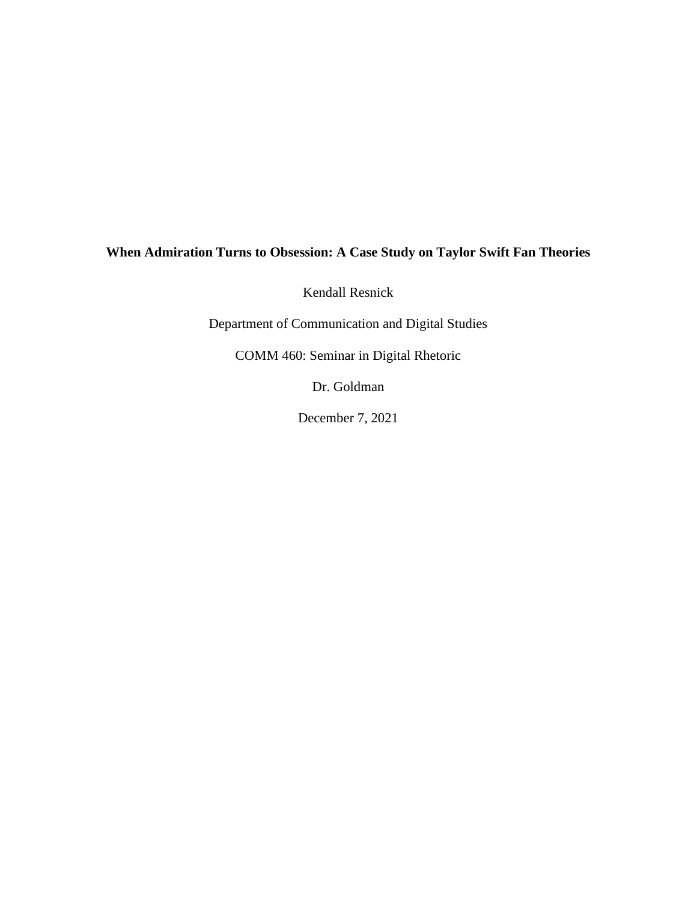# **When Admiration Turns to Obsession: A Case Study on Taylor Swift Fan Theories**

Kendall Resnick

Department of Communication and Digital Studies

COMM 460: Seminar in Digital Rhetoric

Dr. Goldman

December 7, 2021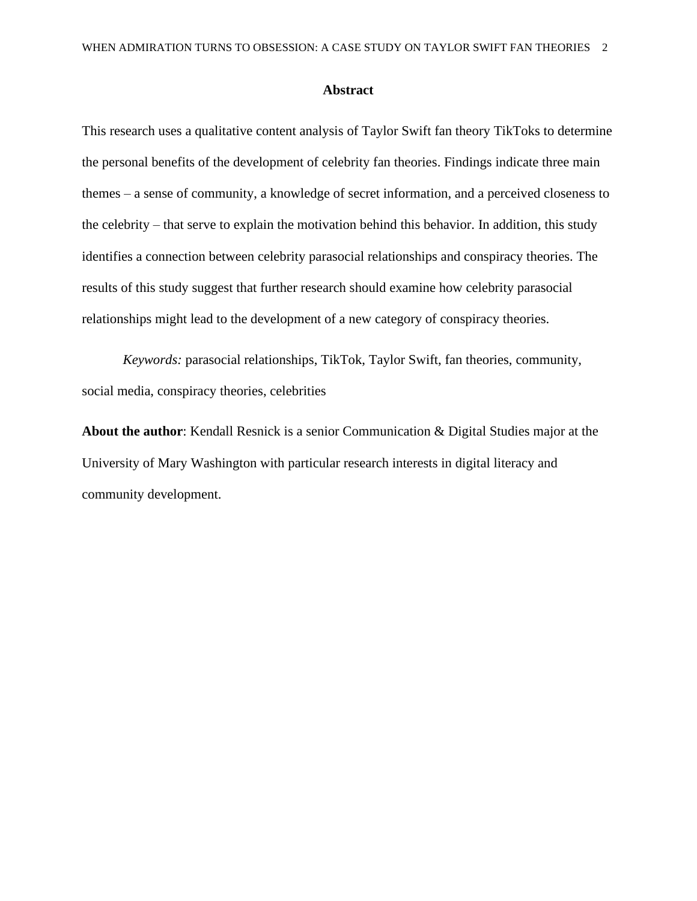#### **Abstract**

This research uses a qualitative content analysis of Taylor Swift fan theory TikToks to determine the personal benefits of the development of celebrity fan theories. Findings indicate three main themes – a sense of community, a knowledge of secret information, and a perceived closeness to the celebrity – that serve to explain the motivation behind this behavior. In addition, this study identifies a connection between celebrity parasocial relationships and conspiracy theories. The results of this study suggest that further research should examine how celebrity parasocial relationships might lead to the development of a new category of conspiracy theories.

*Keywords:* parasocial relationships, TikTok, Taylor Swift, fan theories, community, social media, conspiracy theories, celebrities

**About the author**: Kendall Resnick is a senior Communication & Digital Studies major at the University of Mary Washington with particular research interests in digital literacy and community development.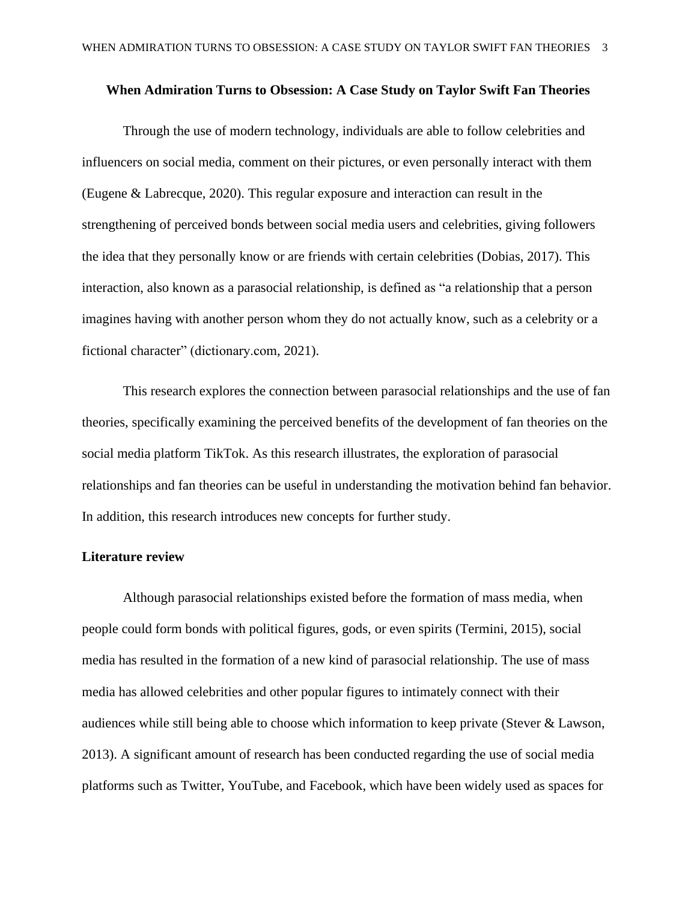#### **When Admiration Turns to Obsession: A Case Study on Taylor Swift Fan Theories**

Through the use of modern technology, individuals are able to follow celebrities and influencers on social media, comment on their pictures, or even personally interact with them (Eugene & Labrecque, 2020). This regular exposure and interaction can result in the strengthening of perceived bonds between social media users and celebrities, giving followers the idea that they personally know or are friends with certain celebrities (Dobias, 2017). This interaction, also known as a parasocial relationship, is defined as "a relationship that a person imagines having with another person whom they do not actually know, such as a celebrity or a fictional character" (dictionary.com, 2021).

This research explores the connection between parasocial relationships and the use of fan theories, specifically examining the perceived benefits of the development of fan theories on the social media platform TikTok. As this research illustrates, the exploration of parasocial relationships and fan theories can be useful in understanding the motivation behind fan behavior. In addition, this research introduces new concepts for further study.

# **Literature review**

Although parasocial relationships existed before the formation of mass media, when people could form bonds with political figures, gods, or even spirits (Termini, 2015), social media has resulted in the formation of a new kind of parasocial relationship. The use of mass media has allowed celebrities and other popular figures to intimately connect with their audiences while still being able to choose which information to keep private (Stever & Lawson, 2013). A significant amount of research has been conducted regarding the use of social media platforms such as Twitter, YouTube, and Facebook, which have been widely used as spaces for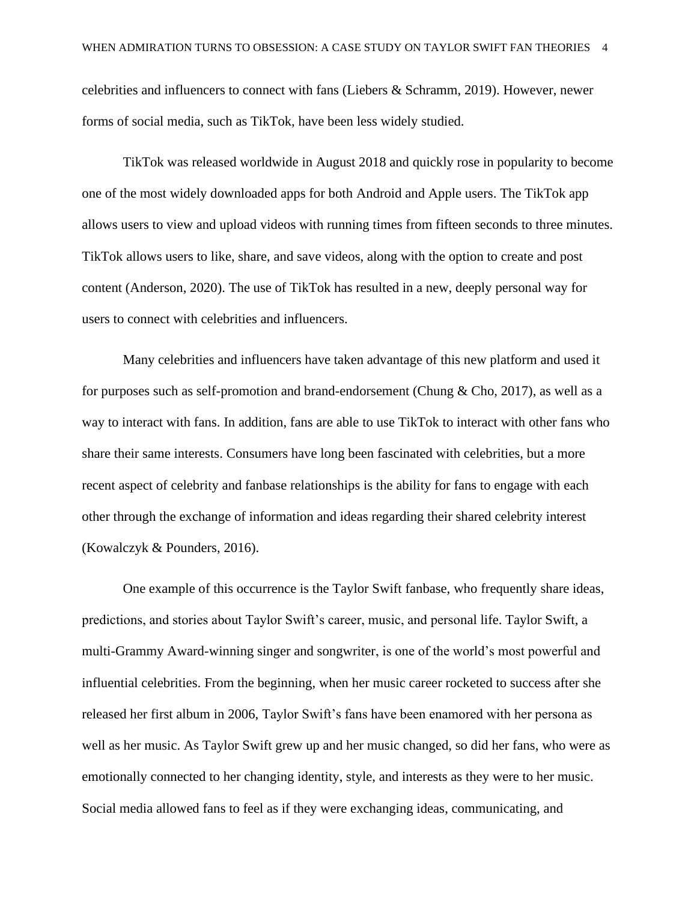celebrities and influencers to connect with fans (Liebers & Schramm, 2019). However, newer forms of social media, such as TikTok, have been less widely studied.

TikTok was released worldwide in August 2018 and quickly rose in popularity to become one of the most widely downloaded apps for both Android and Apple users. The TikTok app allows users to view and upload videos with running times from fifteen seconds to three minutes. TikTok allows users to like, share, and save videos, along with the option to create and post content (Anderson, 2020). The use of TikTok has resulted in a new, deeply personal way for users to connect with celebrities and influencers.

Many celebrities and influencers have taken advantage of this new platform and used it for purposes such as self-promotion and brand-endorsement (Chung & Cho, 2017), as well as a way to interact with fans. In addition, fans are able to use TikTok to interact with other fans who share their same interests. Consumers have long been fascinated with celebrities, but a more recent aspect of celebrity and fanbase relationships is the ability for fans to engage with each other through the exchange of information and ideas regarding their shared celebrity interest (Kowalczyk & Pounders, 2016).

One example of this occurrence is the Taylor Swift fanbase, who frequently share ideas, predictions, and stories about Taylor Swift's career, music, and personal life. Taylor Swift, a multi-Grammy Award-winning singer and songwriter, is one of the world's most powerful and influential celebrities. From the beginning, when her music career rocketed to success after she released her first album in 2006, Taylor Swift's fans have been enamored with her persona as well as her music. As Taylor Swift grew up and her music changed, so did her fans, who were as emotionally connected to her changing identity, style, and interests as they were to her music. Social media allowed fans to feel as if they were exchanging ideas, communicating, and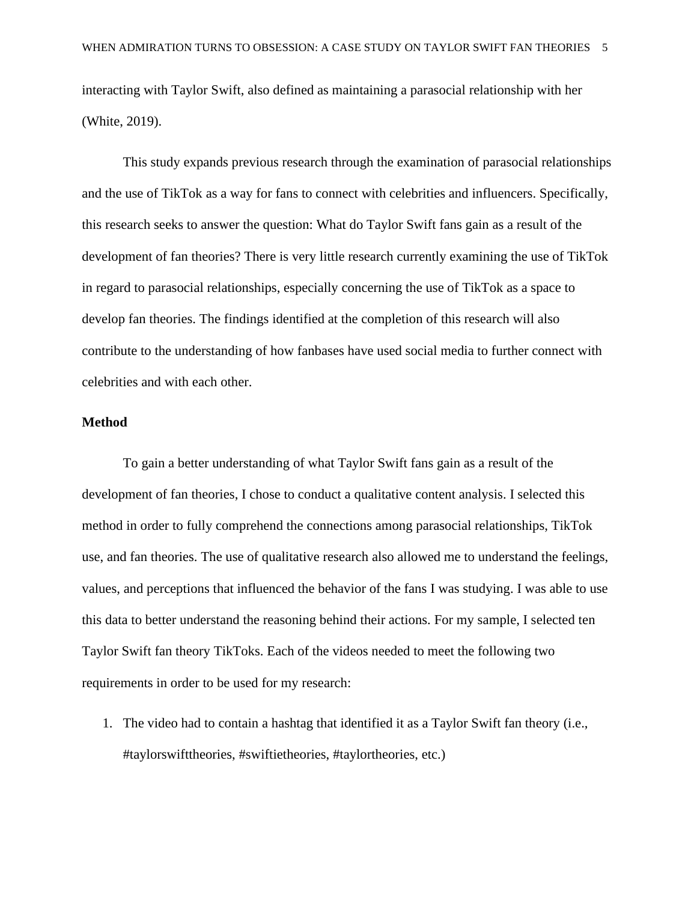interacting with Taylor Swift, also defined as maintaining a parasocial relationship with her (White, 2019).

This study expands previous research through the examination of parasocial relationships and the use of TikTok as a way for fans to connect with celebrities and influencers. Specifically, this research seeks to answer the question: What do Taylor Swift fans gain as a result of the development of fan theories? There is very little research currently examining the use of TikTok in regard to parasocial relationships, especially concerning the use of TikTok as a space to develop fan theories. The findings identified at the completion of this research will also contribute to the understanding of how fanbases have used social media to further connect with celebrities and with each other.

### **Method**

To gain a better understanding of what Taylor Swift fans gain as a result of the development of fan theories, I chose to conduct a qualitative content analysis. I selected this method in order to fully comprehend the connections among parasocial relationships, TikTok use, and fan theories. The use of qualitative research also allowed me to understand the feelings, values, and perceptions that influenced the behavior of the fans I was studying. I was able to use this data to better understand the reasoning behind their actions. For my sample, I selected ten Taylor Swift fan theory TikToks. Each of the videos needed to meet the following two requirements in order to be used for my research:

1. The video had to contain a hashtag that identified it as a Taylor Swift fan theory (i.e., #taylorswifttheories, #swiftietheories, #taylortheories, etc.)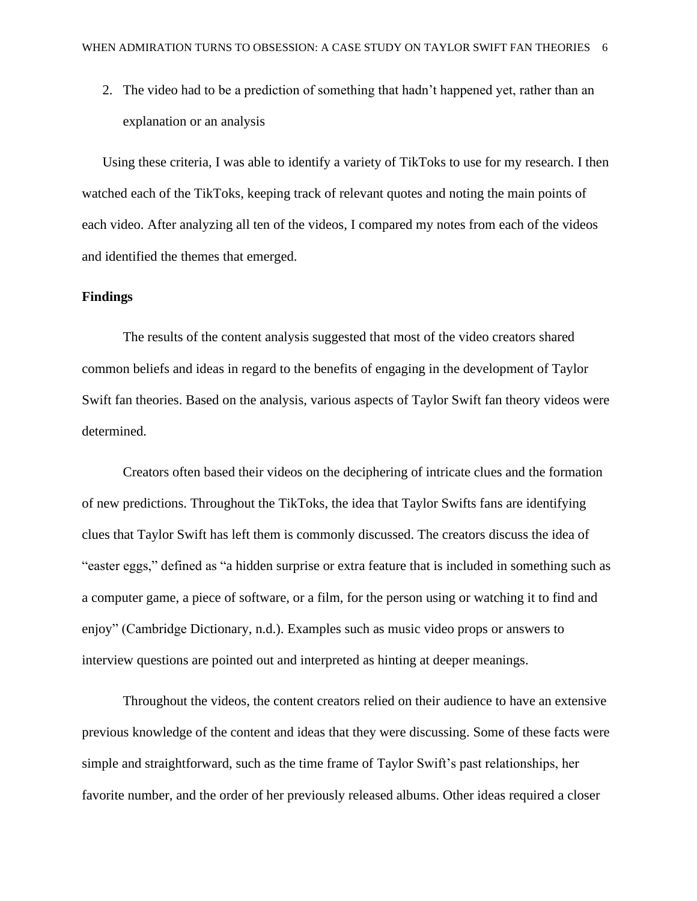2. The video had to be a prediction of something that hadn't happened yet, rather than an explanation or an analysis

Using these criteria, I was able to identify a variety of TikToks to use for my research. I then watched each of the TikToks, keeping track of relevant quotes and noting the main points of each video. After analyzing all ten of the videos, I compared my notes from each of the videos and identified the themes that emerged.

#### **Findings**

The results of the content analysis suggested that most of the video creators shared common beliefs and ideas in regard to the benefits of engaging in the development of Taylor Swift fan theories. Based on the analysis, various aspects of Taylor Swift fan theory videos were determined.

Creators often based their videos on the deciphering of intricate clues and the formation of new predictions. Throughout the TikToks, the idea that Taylor Swifts fans are identifying clues that Taylor Swift has left them is commonly discussed. The creators discuss the idea of "easter eggs," defined as "a hidden surprise or extra feature that is included in something such as a computer game, a piece of software, or a film, for the person using or watching it to find and enjoy" (Cambridge Dictionary, n.d.). Examples such as music video props or answers to interview questions are pointed out and interpreted as hinting at deeper meanings.

Throughout the videos, the content creators relied on their audience to have an extensive previous knowledge of the content and ideas that they were discussing. Some of these facts were simple and straightforward, such as the time frame of Taylor Swift's past relationships, her favorite number, and the order of her previously released albums. Other ideas required a closer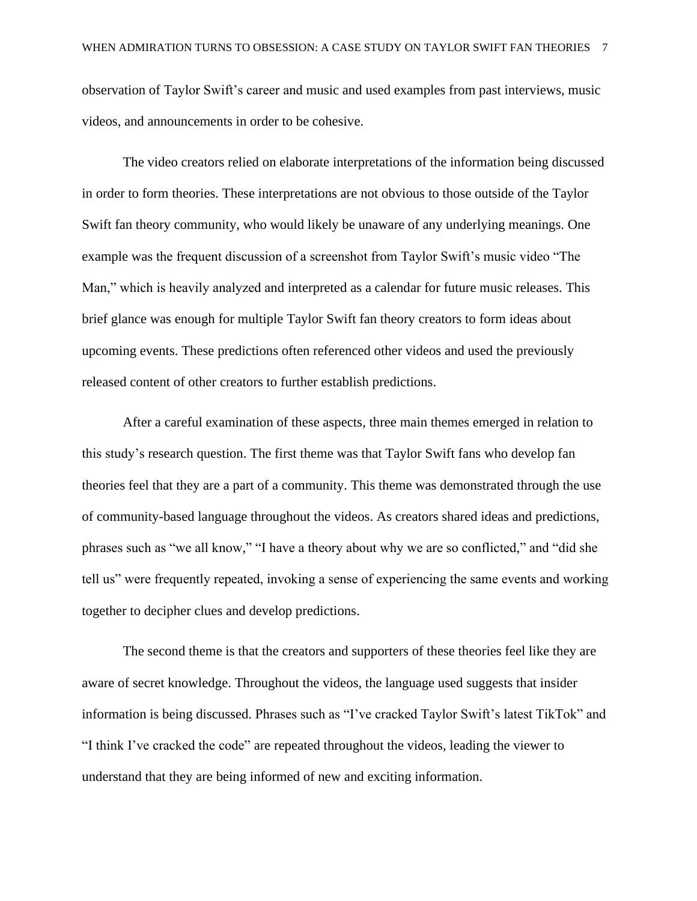observation of Taylor Swift's career and music and used examples from past interviews, music videos, and announcements in order to be cohesive.

The video creators relied on elaborate interpretations of the information being discussed in order to form theories. These interpretations are not obvious to those outside of the Taylor Swift fan theory community, who would likely be unaware of any underlying meanings. One example was the frequent discussion of a screenshot from Taylor Swift's music video "The Man," which is heavily analyzed and interpreted as a calendar for future music releases. This brief glance was enough for multiple Taylor Swift fan theory creators to form ideas about upcoming events. These predictions often referenced other videos and used the previously released content of other creators to further establish predictions.

After a careful examination of these aspects, three main themes emerged in relation to this study's research question. The first theme was that Taylor Swift fans who develop fan theories feel that they are a part of a community. This theme was demonstrated through the use of community-based language throughout the videos. As creators shared ideas and predictions, phrases such as "we all know," "I have a theory about why we are so conflicted," and "did she tell us" were frequently repeated, invoking a sense of experiencing the same events and working together to decipher clues and develop predictions.

The second theme is that the creators and supporters of these theories feel like they are aware of secret knowledge. Throughout the videos, the language used suggests that insider information is being discussed. Phrases such as "I've cracked Taylor Swift's latest TikTok" and "I think I've cracked the code" are repeated throughout the videos, leading the viewer to understand that they are being informed of new and exciting information.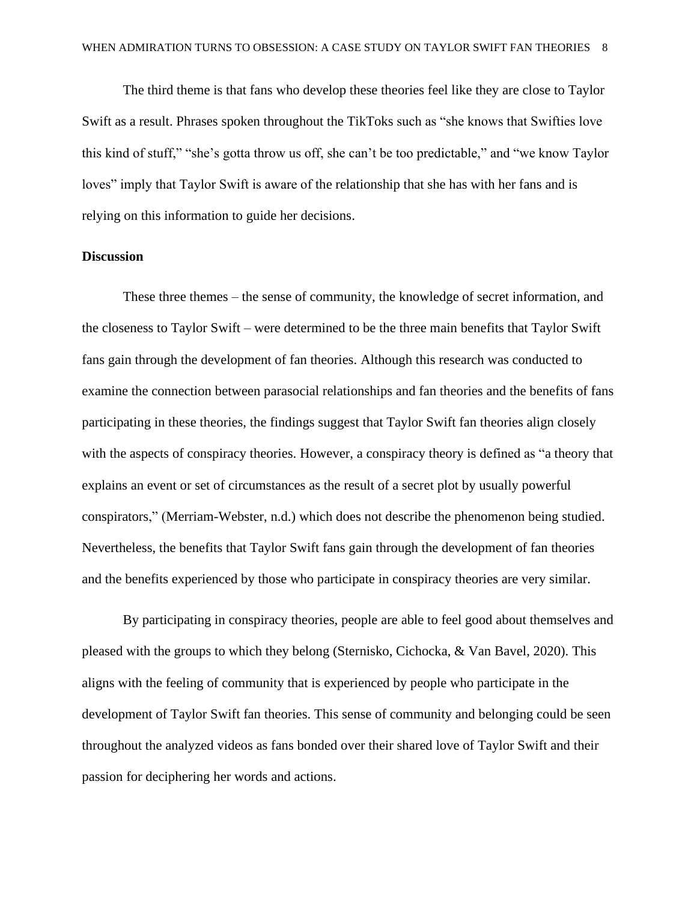The third theme is that fans who develop these theories feel like they are close to Taylor Swift as a result. Phrases spoken throughout the TikToks such as "she knows that Swifties love this kind of stuff," "she's gotta throw us off, she can't be too predictable," and "we know Taylor loves" imply that Taylor Swift is aware of the relationship that she has with her fans and is relying on this information to guide her decisions.

# **Discussion**

These three themes – the sense of community, the knowledge of secret information, and the closeness to Taylor Swift – were determined to be the three main benefits that Taylor Swift fans gain through the development of fan theories. Although this research was conducted to examine the connection between parasocial relationships and fan theories and the benefits of fans participating in these theories, the findings suggest that Taylor Swift fan theories align closely with the aspects of conspiracy theories. However, a conspiracy theory is defined as "a theory that explains an event or set of circumstances as the result of a secret plot by usually powerful conspirators," (Merriam-Webster, n.d.) which does not describe the phenomenon being studied. Nevertheless, the benefits that Taylor Swift fans gain through the development of fan theories and the benefits experienced by those who participate in conspiracy theories are very similar.

By participating in conspiracy theories, people are able to feel good about themselves and pleased with the groups to which they belong (Sternisko, Cichocka, & Van Bavel, 2020). This aligns with the feeling of community that is experienced by people who participate in the development of Taylor Swift fan theories. This sense of community and belonging could be seen throughout the analyzed videos as fans bonded over their shared love of Taylor Swift and their passion for deciphering her words and actions.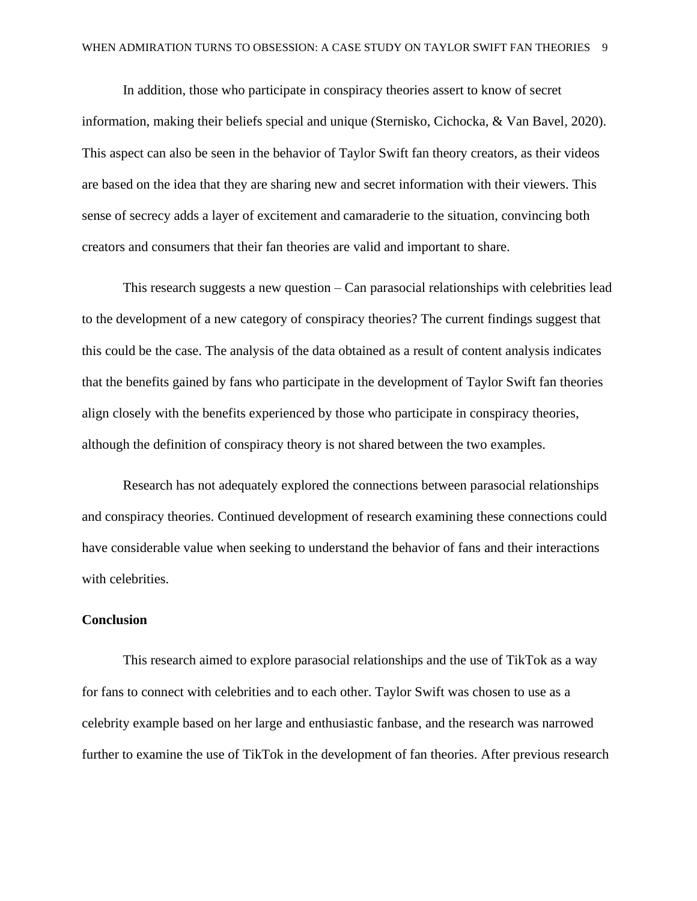In addition, those who participate in conspiracy theories assert to know of secret information, making their beliefs special and unique (Sternisko, Cichocka, & Van Bavel, 2020). This aspect can also be seen in the behavior of Taylor Swift fan theory creators, as their videos are based on the idea that they are sharing new and secret information with their viewers. This sense of secrecy adds a layer of excitement and camaraderie to the situation, convincing both creators and consumers that their fan theories are valid and important to share.

This research suggests a new question – Can parasocial relationships with celebrities lead to the development of a new category of conspiracy theories? The current findings suggest that this could be the case. The analysis of the data obtained as a result of content analysis indicates that the benefits gained by fans who participate in the development of Taylor Swift fan theories align closely with the benefits experienced by those who participate in conspiracy theories, although the definition of conspiracy theory is not shared between the two examples.

Research has not adequately explored the connections between parasocial relationships and conspiracy theories. Continued development of research examining these connections could have considerable value when seeking to understand the behavior of fans and their interactions with celebrities.

# **Conclusion**

This research aimed to explore parasocial relationships and the use of TikTok as a way for fans to connect with celebrities and to each other. Taylor Swift was chosen to use as a celebrity example based on her large and enthusiastic fanbase, and the research was narrowed further to examine the use of TikTok in the development of fan theories. After previous research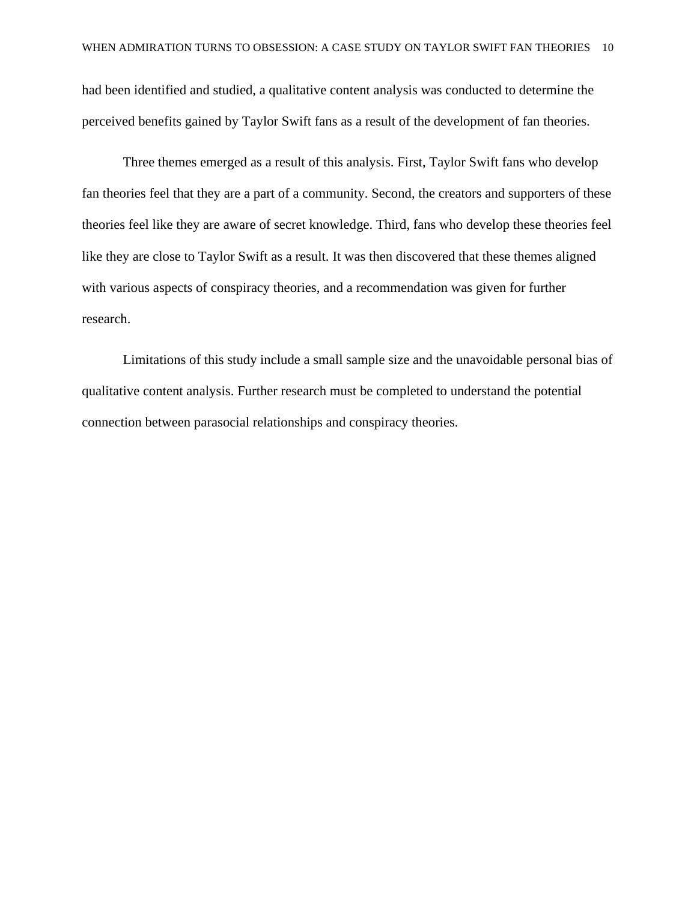had been identified and studied, a qualitative content analysis was conducted to determine the perceived benefits gained by Taylor Swift fans as a result of the development of fan theories.

Three themes emerged as a result of this analysis. First, Taylor Swift fans who develop fan theories feel that they are a part of a community. Second, the creators and supporters of these theories feel like they are aware of secret knowledge. Third, fans who develop these theories feel like they are close to Taylor Swift as a result. It was then discovered that these themes aligned with various aspects of conspiracy theories, and a recommendation was given for further research.

Limitations of this study include a small sample size and the unavoidable personal bias of qualitative content analysis. Further research must be completed to understand the potential connection between parasocial relationships and conspiracy theories.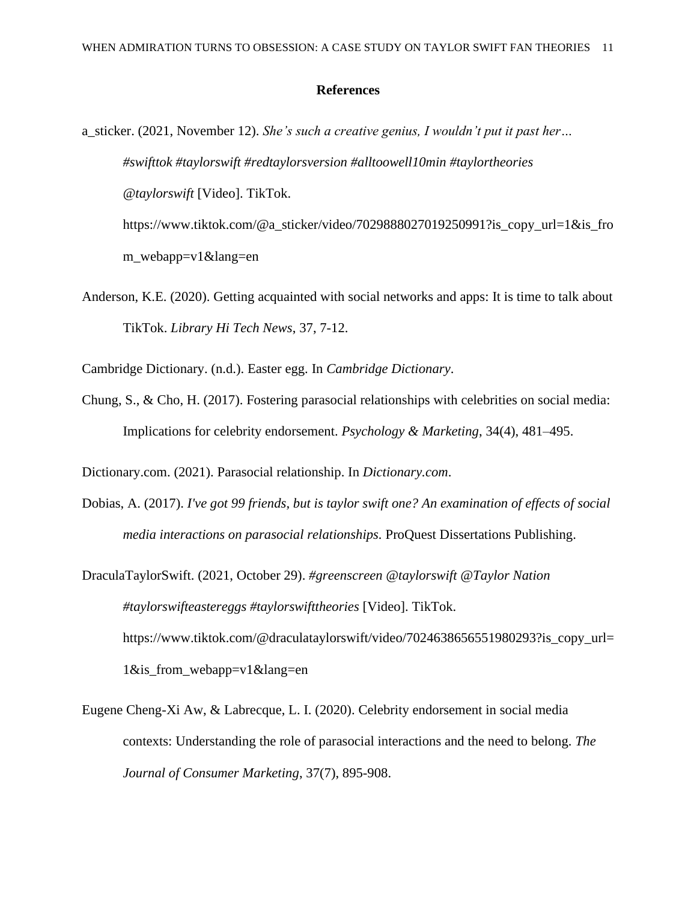#### **References**

- a\_sticker. (2021, November 12). *She's such a creative genius, I wouldn't put it past her… #swifttok #taylorswift #redtaylorsversion #alltoowell10min #taylortheories @taylorswift* [Video]. TikTok. https://www.tiktok.com/@a\_sticker/video/7029888027019250991?is\_copy\_url=1&is\_fro m\_webapp=v1&lang=en
- Anderson, K.E. (2020). Getting acquainted with social networks and apps: It is time to talk about TikTok. *Library Hi Tech News*, 37, 7-12.

Cambridge Dictionary. (n.d.). Easter egg. In *Cambridge Dictionary*.

Chung, S., & Cho, H. (2017). Fostering parasocial relationships with celebrities on social media: Implications for celebrity endorsement. *Psychology & Marketing*, 34(4), 481–495.

Dictionary.com. (2021). Parasocial relationship. In *Dictionary.com*.

- Dobias, A. (2017). *I've got 99 friends, but is taylor swift one? An examination of effects of social media interactions on parasocial relationships.* ProQuest Dissertations Publishing.
- DraculaTaylorSwift. (2021, October 29). *#greenscreen @taylorswift @Taylor Nation #taylorswifteastereggs #taylorswifttheories* [Video]. TikTok. https://www.tiktok.com/@draculataylorswift/video/7024638656551980293?is\_copy\_url= 1&is\_from\_webapp=v1&lang=en
- Eugene Cheng-Xi Aw, & Labrecque, L. I. (2020). Celebrity endorsement in social media contexts: Understanding the role of parasocial interactions and the need to belong. *The Journal of Consumer Marketing*, 37(7), 895-908.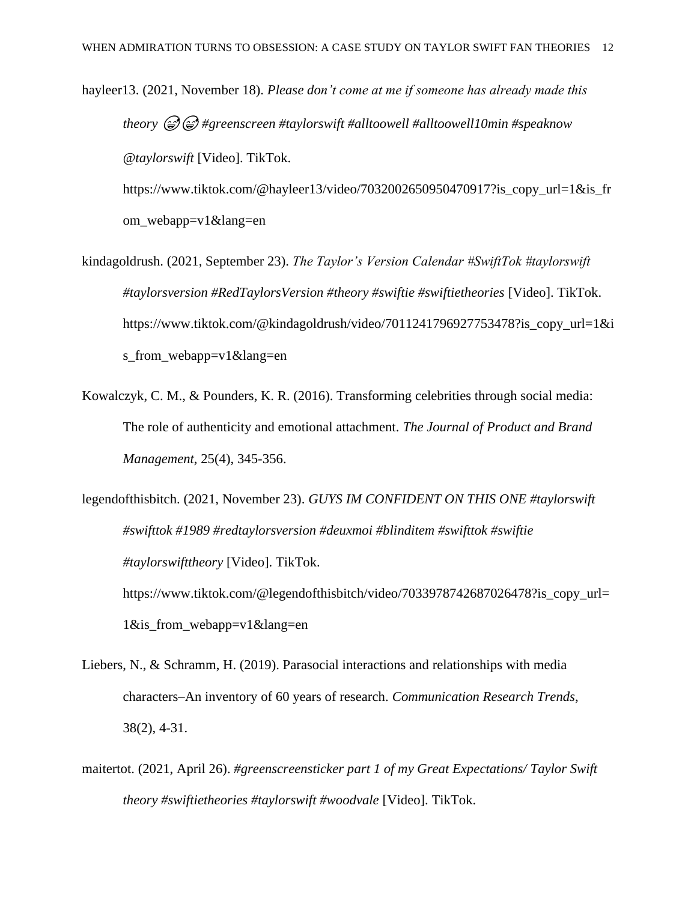- hayleer13. (2021, November 18). *Please don't come at me if someone has already made this theory #greenscreen #taylorswift #alltoowell #alltoowell10min #speaknow @taylorswift* [Video]. TikTok. https://www.tiktok.com/@hayleer13/video/7032002650950470917?is\_copy\_url=1&is\_fr om\_webapp=v1&lang=en
- kindagoldrush. (2021, September 23). *The Taylor's Version Calendar #SwiftTok #taylorswift #taylorsversion #RedTaylorsVersion #theory #swiftie #swiftietheories* [Video]. TikTok. https://www.tiktok.com/@kindagoldrush/video/7011241796927753478?is\_copy\_url=1&i s\_from\_webapp=v1&lang=en
- Kowalczyk, C. M., & Pounders, K. R. (2016). Transforming celebrities through social media: The role of authenticity and emotional attachment. *The Journal of Product and Brand Management*, 25(4), 345-356.
- legendofthisbitch. (2021, November 23). *GUYS IM CONFIDENT ON THIS ONE #taylorswift #swifttok #1989 #redtaylorsversion #deuxmoi #blinditem #swifttok #swiftie #taylorswifttheory* [Video]. TikTok. https://www.tiktok.com/@legendofthisbitch/video/7033978742687026478?is\_copy\_url= 1&is\_from\_webapp=v1&lang=en
- Liebers, N., & Schramm, H. (2019). Parasocial interactions and relationships with media characters–An inventory of 60 years of research. *Communication Research Trends*, 38(2), 4-31.
- maitertot. (2021, April 26). *#greenscreensticker part 1 of my Great Expectations/ Taylor Swift theory #swiftietheories #taylorswift #woodvale* [Video]. TikTok.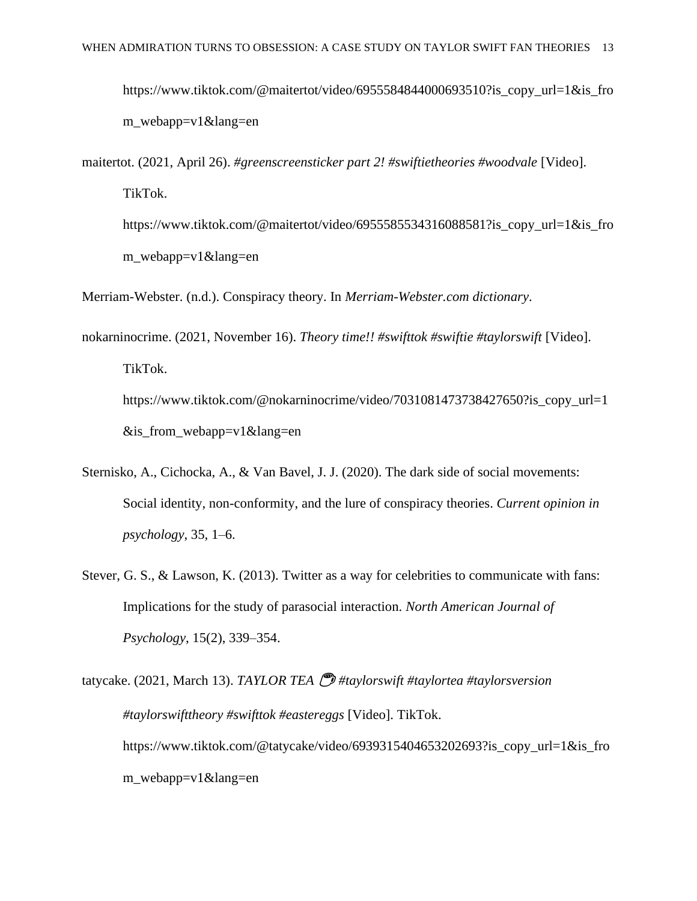- https://www.tiktok.com/@maitertot/video/6955584844000693510?is copy url=1&is fro m\_webapp=v1&lang=en
- maitertot. (2021, April 26). *#greenscreensticker part 2! #swiftietheories #woodvale* [Video]. TikTok.
	- https://www.tiktok.com/@maitertot/video/6955585534316088581?is\_copy\_url=1&is\_fro m\_webapp=v1&lang=en
- Merriam-Webster. (n.d.). Conspiracy theory. In *Merriam-Webster.com dictionary*.
- nokarninocrime. (2021, November 16). *Theory time!! #swifttok #swiftie #taylorswift* [Video]. TikTok. https://www.tiktok.com/@nokarninocrime/video/7031081473738427650?is\_copy\_url=1 &is\_from\_webapp=v1&lang=en
- Sternisko, A., Cichocka, A., & Van Bavel, J. J. (2020). The dark side of social movements: Social identity, non-conformity, and the lure of conspiracy theories. *Current opinion in psychology*, 35, 1–6.
- Stever, G. S., & Lawson, K. (2013). Twitter as a way for celebrities to communicate with fans: Implications for the study of parasocial interaction. *North American Journal of Psychology*, 15(2), 339–354.

tatycake. (2021, March 13). *TAYLOR TEA* ☕️ *#taylorswift #taylortea #taylorsversion #taylorswifttheory #swifttok #eastereggs* [Video]. TikTok. https://www.tiktok.com/@tatycake/video/6939315404653202693?is\_copy\_url=1&is\_fro m\_webapp=v1&lang=en